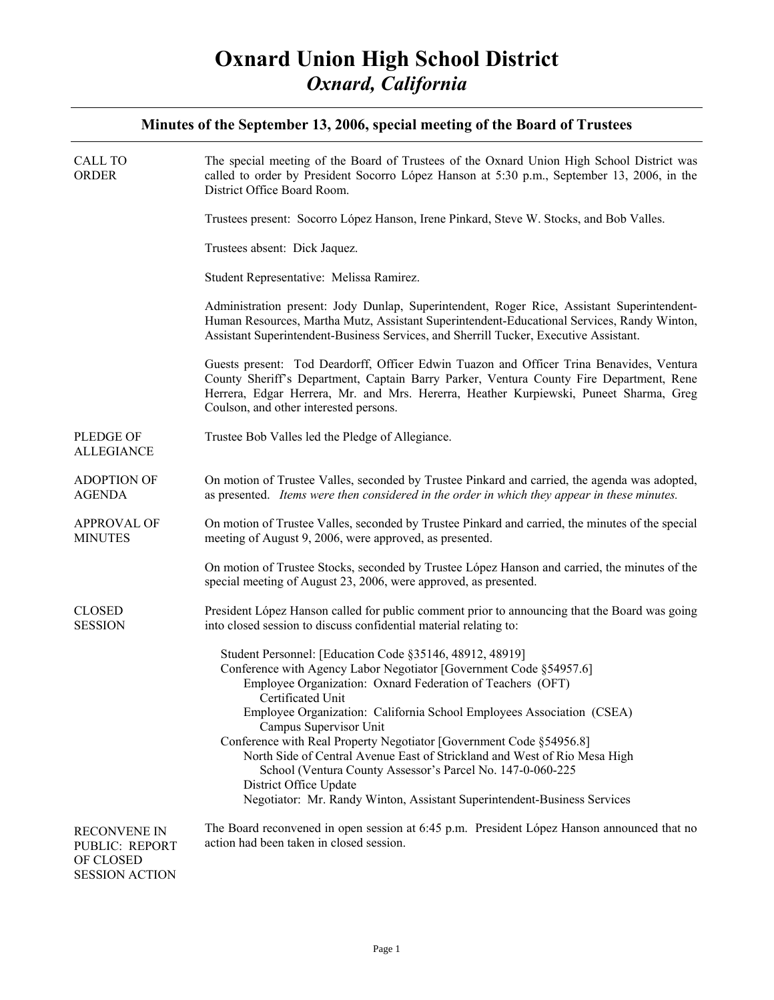| <b>CALL TO</b><br><b>ORDER</b>                                              | The special meeting of the Board of Trustees of the Oxnard Union High School District was<br>called to order by President Socorro López Hanson at 5:30 p.m., September 13, 2006, in the<br>District Office Board Room.<br>Trustees present: Socorro López Hanson, Irene Pinkard, Steve W. Stocks, and Bob Valles.<br>Trustees absent: Dick Jaquez.<br>Student Representative: Melissa Ramirez.<br>Administration present: Jody Dunlap, Superintendent, Roger Rice, Assistant Superintendent-<br>Human Resources, Martha Mutz, Assistant Superintendent-Educational Services, Randy Winton,<br>Assistant Superintendent-Business Services, and Sherrill Tucker, Executive Assistant.<br>Guests present: Tod Deardorff, Officer Edwin Tuazon and Officer Trina Benavides, Ventura<br>County Sheriff's Department, Captain Barry Parker, Ventura County Fire Department, Rene |
|-----------------------------------------------------------------------------|----------------------------------------------------------------------------------------------------------------------------------------------------------------------------------------------------------------------------------------------------------------------------------------------------------------------------------------------------------------------------------------------------------------------------------------------------------------------------------------------------------------------------------------------------------------------------------------------------------------------------------------------------------------------------------------------------------------------------------------------------------------------------------------------------------------------------------------------------------------------------|
|                                                                             | Herrera, Edgar Herrera, Mr. and Mrs. Hererra, Heather Kurpiewski, Puneet Sharma, Greg<br>Coulson, and other interested persons.                                                                                                                                                                                                                                                                                                                                                                                                                                                                                                                                                                                                                                                                                                                                            |
| PLEDGE OF<br><b>ALLEGIANCE</b>                                              | Trustee Bob Valles led the Pledge of Allegiance.                                                                                                                                                                                                                                                                                                                                                                                                                                                                                                                                                                                                                                                                                                                                                                                                                           |
| <b>ADOPTION OF</b><br><b>AGENDA</b>                                         | On motion of Trustee Valles, seconded by Trustee Pinkard and carried, the agenda was adopted,<br>as presented. Items were then considered in the order in which they appear in these minutes.                                                                                                                                                                                                                                                                                                                                                                                                                                                                                                                                                                                                                                                                              |
| <b>APPROVAL OF</b><br><b>MINUTES</b>                                        | On motion of Trustee Valles, seconded by Trustee Pinkard and carried, the minutes of the special<br>meeting of August 9, 2006, were approved, as presented.                                                                                                                                                                                                                                                                                                                                                                                                                                                                                                                                                                                                                                                                                                                |
|                                                                             | On motion of Trustee Stocks, seconded by Trustee López Hanson and carried, the minutes of the<br>special meeting of August 23, 2006, were approved, as presented.                                                                                                                                                                                                                                                                                                                                                                                                                                                                                                                                                                                                                                                                                                          |
| <b>CLOSED</b><br><b>SESSION</b>                                             | President López Hanson called for public comment prior to announcing that the Board was going<br>into closed session to discuss confidential material relating to:                                                                                                                                                                                                                                                                                                                                                                                                                                                                                                                                                                                                                                                                                                         |
|                                                                             | Student Personnel: [Education Code §35146, 48912, 48919]<br>Conference with Agency Labor Negotiator [Government Code §54957.6]<br>Employee Organization: Oxnard Federation of Teachers (OFT)<br>Certificated Unit<br>Employee Organization: California School Employees Association (CSEA)<br>Campus Supervisor Unit<br>Conference with Real Property Negotiator [Government Code §54956.8]<br>North Side of Central Avenue East of Strickland and West of Rio Mesa High<br>School (Ventura County Assessor's Parcel No. 147-0-060-225<br>District Office Update<br>Negotiator: Mr. Randy Winton, Assistant Superintendent-Business Services                                                                                                                                                                                                                               |
| <b>RECONVENE IN</b><br>PUBLIC: REPORT<br>OF CLOSED<br><b>SESSION ACTION</b> | The Board reconvened in open session at 6:45 p.m. President López Hanson announced that no<br>action had been taken in closed session.                                                                                                                                                                                                                                                                                                                                                                                                                                                                                                                                                                                                                                                                                                                                     |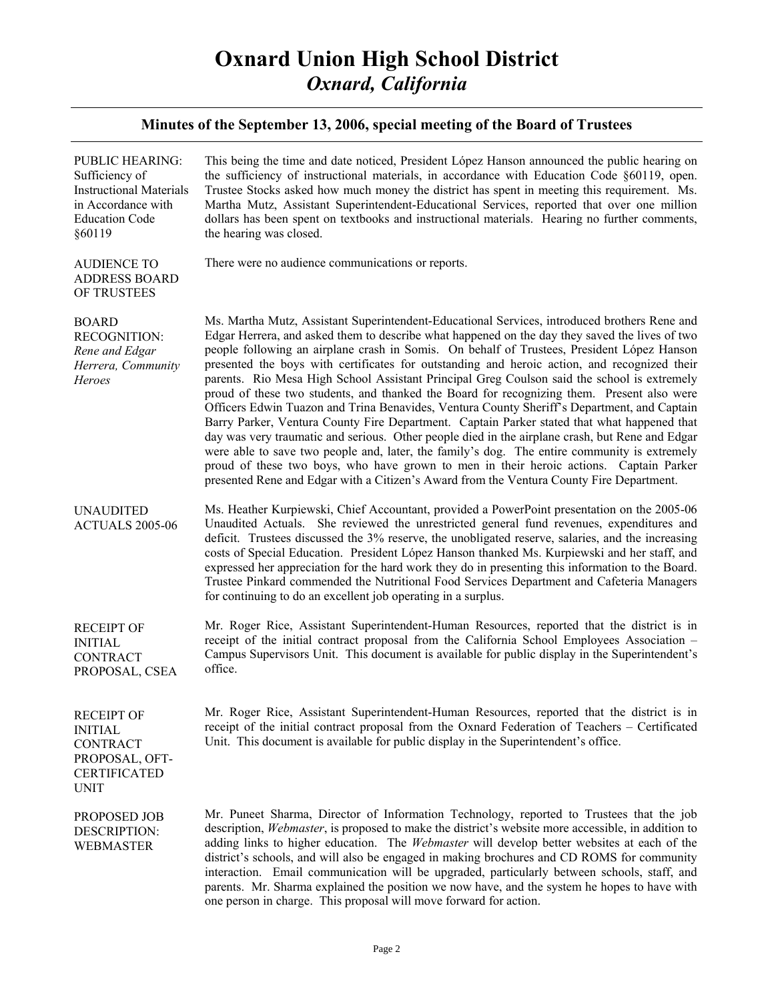| <b>PUBLIC HEARING:</b><br>Sufficiency of<br><b>Instructional Materials</b><br>in Accordance with<br><b>Education Code</b><br>§60119 | This being the time and date noticed, President López Hanson announced the public hearing on<br>the sufficiency of instructional materials, in accordance with Education Code §60119, open.<br>Trustee Stocks asked how much money the district has spent in meeting this requirement. Ms.<br>Martha Mutz, Assistant Superintendent-Educational Services, reported that over one million<br>dollars has been spent on textbooks and instructional materials. Hearing no further comments,<br>the hearing was closed.                                                                                                                                                                                                                                                                                                                                                                                                                                                                                                                                                                                                                                                             |
|-------------------------------------------------------------------------------------------------------------------------------------|----------------------------------------------------------------------------------------------------------------------------------------------------------------------------------------------------------------------------------------------------------------------------------------------------------------------------------------------------------------------------------------------------------------------------------------------------------------------------------------------------------------------------------------------------------------------------------------------------------------------------------------------------------------------------------------------------------------------------------------------------------------------------------------------------------------------------------------------------------------------------------------------------------------------------------------------------------------------------------------------------------------------------------------------------------------------------------------------------------------------------------------------------------------------------------|
| <b>AUDIENCE TO</b><br><b>ADDRESS BOARD</b><br>OF TRUSTEES                                                                           | There were no audience communications or reports.                                                                                                                                                                                                                                                                                                                                                                                                                                                                                                                                                                                                                                                                                                                                                                                                                                                                                                                                                                                                                                                                                                                                |
| <b>BOARD</b><br><b>RECOGNITION:</b><br>Rene and Edgar<br>Herrera, Community<br>Heroes                                               | Ms. Martha Mutz, Assistant Superintendent-Educational Services, introduced brothers Rene and<br>Edgar Herrera, and asked them to describe what happened on the day they saved the lives of two<br>people following an airplane crash in Somis. On behalf of Trustees, President López Hanson<br>presented the boys with certificates for outstanding and heroic action, and recognized their<br>parents. Rio Mesa High School Assistant Principal Greg Coulson said the school is extremely<br>proud of these two students, and thanked the Board for recognizing them. Present also were<br>Officers Edwin Tuazon and Trina Benavides, Ventura County Sheriff's Department, and Captain<br>Barry Parker, Ventura County Fire Department. Captain Parker stated that what happened that<br>day was very traumatic and serious. Other people died in the airplane crash, but Rene and Edgar<br>were able to save two people and, later, the family's dog. The entire community is extremely<br>proud of these two boys, who have grown to men in their heroic actions. Captain Parker<br>presented Rene and Edgar with a Citizen's Award from the Ventura County Fire Department. |
| <b>UNAUDITED</b><br>ACTUALS 2005-06                                                                                                 | Ms. Heather Kurpiewski, Chief Accountant, provided a PowerPoint presentation on the 2005-06<br>Unaudited Actuals. She reviewed the unrestricted general fund revenues, expenditures and<br>deficit. Trustees discussed the 3% reserve, the unobligated reserve, salaries, and the increasing<br>costs of Special Education. President López Hanson thanked Ms. Kurpiewski and her staff, and<br>expressed her appreciation for the hard work they do in presenting this information to the Board.<br>Trustee Pinkard commended the Nutritional Food Services Department and Cafeteria Managers<br>for continuing to do an excellent job operating in a surplus.                                                                                                                                                                                                                                                                                                                                                                                                                                                                                                                  |
| <b>RECEIPT OF</b><br><b>INITIAL</b><br><b>CONTRACT</b><br>PROPOSAL, CSEA                                                            | Mr. Roger Rice, Assistant Superintendent-Human Resources, reported that the district is in<br>receipt of the initial contract proposal from the California School Employees Association -<br>Campus Supervisors Unit. This document is available for public display in the Superintendent's<br>office.                                                                                                                                                                                                                                                                                                                                                                                                                                                                                                                                                                                                                                                                                                                                                                                                                                                                           |
| <b>RECEIPT OF</b><br><b>INITIAL</b><br><b>CONTRACT</b><br>PROPOSAL, OFT-<br><b>CERTIFICATED</b><br><b>UNIT</b>                      | Mr. Roger Rice, Assistant Superintendent-Human Resources, reported that the district is in<br>receipt of the initial contract proposal from the Oxnard Federation of Teachers – Certificated<br>Unit. This document is available for public display in the Superintendent's office.                                                                                                                                                                                                                                                                                                                                                                                                                                                                                                                                                                                                                                                                                                                                                                                                                                                                                              |
| PROPOSED JOB<br>DESCRIPTION:<br><b>WEBMASTER</b>                                                                                    | Mr. Puneet Sharma, Director of Information Technology, reported to Trustees that the job<br>description, <i>Webmaster</i> , is proposed to make the district's website more accessible, in addition to<br>adding links to higher education. The Webmaster will develop better websites at each of the<br>district's schools, and will also be engaged in making brochures and CD ROMS for community<br>interaction. Email communication will be upgraded, particularly between schools, staff, and<br>parents. Mr. Sharma explained the position we now have, and the system he hopes to have with<br>one person in charge. This proposal will move forward for action.                                                                                                                                                                                                                                                                                                                                                                                                                                                                                                          |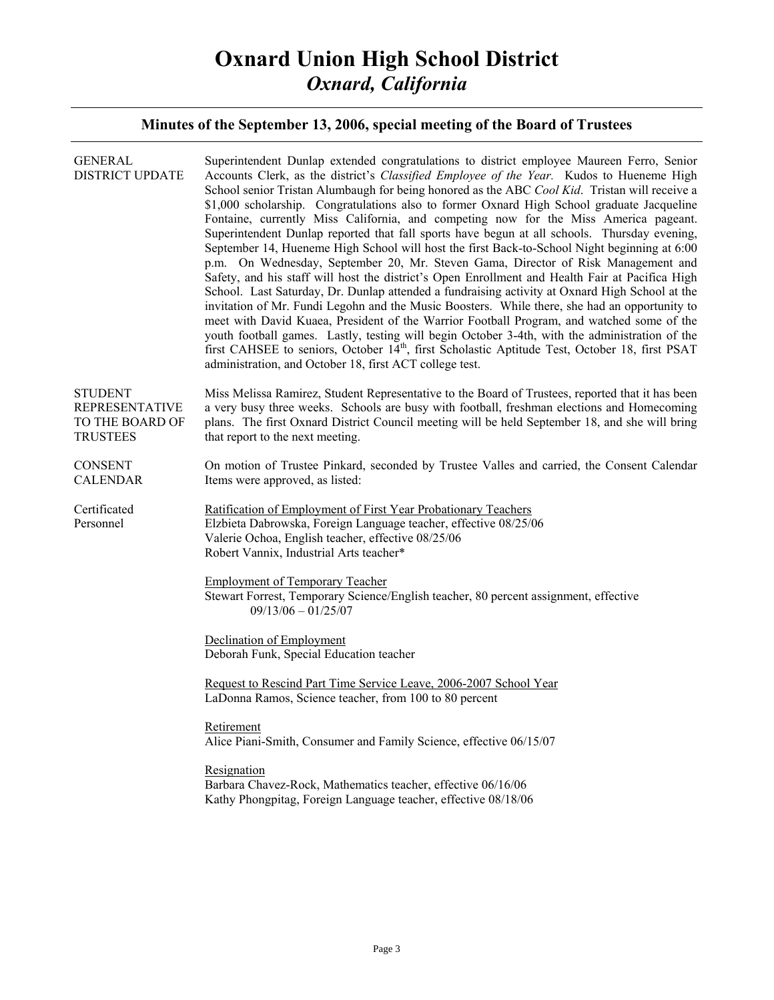| <b>GENERAL</b><br><b>DISTRICT UPDATE</b>                                      | Superintendent Dunlap extended congratulations to district employee Maureen Ferro, Senior<br>Accounts Clerk, as the district's Classified Employee of the Year. Kudos to Hueneme High<br>School senior Tristan Alumbaugh for being honored as the ABC Cool Kid. Tristan will receive a<br>\$1,000 scholarship. Congratulations also to former Oxnard High School graduate Jacqueline<br>Fontaine, currently Miss California, and competing now for the Miss America pageant.<br>Superintendent Dunlap reported that fall sports have begun at all schools. Thursday evening,<br>September 14, Hueneme High School will host the first Back-to-School Night beginning at 6:00<br>p.m. On Wednesday, September 20, Mr. Steven Gama, Director of Risk Management and<br>Safety, and his staff will host the district's Open Enrollment and Health Fair at Pacifica High<br>School. Last Saturday, Dr. Dunlap attended a fundraising activity at Oxnard High School at the<br>invitation of Mr. Fundi Legohn and the Music Boosters. While there, she had an opportunity to<br>meet with David Kuaea, President of the Warrior Football Program, and watched some of the<br>youth football games. Lastly, testing will begin October 3-4th, with the administration of the<br>first CAHSEE to seniors, October 14 <sup>th</sup> , first Scholastic Aptitude Test, October 18, first PSAT<br>administration, and October 18, first ACT college test. |
|-------------------------------------------------------------------------------|-------------------------------------------------------------------------------------------------------------------------------------------------------------------------------------------------------------------------------------------------------------------------------------------------------------------------------------------------------------------------------------------------------------------------------------------------------------------------------------------------------------------------------------------------------------------------------------------------------------------------------------------------------------------------------------------------------------------------------------------------------------------------------------------------------------------------------------------------------------------------------------------------------------------------------------------------------------------------------------------------------------------------------------------------------------------------------------------------------------------------------------------------------------------------------------------------------------------------------------------------------------------------------------------------------------------------------------------------------------------------------------------------------------------------------------------------|
| <b>STUDENT</b><br><b>REPRESENTATIVE</b><br>TO THE BOARD OF<br><b>TRUSTEES</b> | Miss Melissa Ramirez, Student Representative to the Board of Trustees, reported that it has been<br>a very busy three weeks. Schools are busy with football, freshman elections and Homecoming<br>plans. The first Oxnard District Council meeting will be held September 18, and she will bring<br>that report to the next meeting.                                                                                                                                                                                                                                                                                                                                                                                                                                                                                                                                                                                                                                                                                                                                                                                                                                                                                                                                                                                                                                                                                                            |
| <b>CONSENT</b><br><b>CALENDAR</b>                                             | On motion of Trustee Pinkard, seconded by Trustee Valles and carried, the Consent Calendar<br>Items were approved, as listed:                                                                                                                                                                                                                                                                                                                                                                                                                                                                                                                                                                                                                                                                                                                                                                                                                                                                                                                                                                                                                                                                                                                                                                                                                                                                                                                   |
| Certificated<br>Personnel                                                     | Ratification of Employment of First Year Probationary Teachers<br>Elzbieta Dabrowska, Foreign Language teacher, effective 08/25/06<br>Valerie Ochoa, English teacher, effective 08/25/06<br>Robert Vannix, Industrial Arts teacher*                                                                                                                                                                                                                                                                                                                                                                                                                                                                                                                                                                                                                                                                                                                                                                                                                                                                                                                                                                                                                                                                                                                                                                                                             |
|                                                                               | <b>Employment of Temporary Teacher</b><br>Stewart Forrest, Temporary Science/English teacher, 80 percent assignment, effective<br>$09/13/06 - 01/25/07$                                                                                                                                                                                                                                                                                                                                                                                                                                                                                                                                                                                                                                                                                                                                                                                                                                                                                                                                                                                                                                                                                                                                                                                                                                                                                         |
|                                                                               | Declination of Employment<br>Deborah Funk, Special Education teacher                                                                                                                                                                                                                                                                                                                                                                                                                                                                                                                                                                                                                                                                                                                                                                                                                                                                                                                                                                                                                                                                                                                                                                                                                                                                                                                                                                            |
|                                                                               | Request to Rescind Part Time Service Leave, 2006-2007 School Year<br>LaDonna Ramos, Science teacher, from 100 to 80 percent                                                                                                                                                                                                                                                                                                                                                                                                                                                                                                                                                                                                                                                                                                                                                                                                                                                                                                                                                                                                                                                                                                                                                                                                                                                                                                                     |
|                                                                               | Retirement<br>Alice Piani-Smith, Consumer and Family Science, effective 06/15/07                                                                                                                                                                                                                                                                                                                                                                                                                                                                                                                                                                                                                                                                                                                                                                                                                                                                                                                                                                                                                                                                                                                                                                                                                                                                                                                                                                |
|                                                                               | Resignation<br>Barbara Chavez-Rock, Mathematics teacher, effective 06/16/06<br>Kathy Phongpitag, Foreign Language teacher, effective 08/18/06                                                                                                                                                                                                                                                                                                                                                                                                                                                                                                                                                                                                                                                                                                                                                                                                                                                                                                                                                                                                                                                                                                                                                                                                                                                                                                   |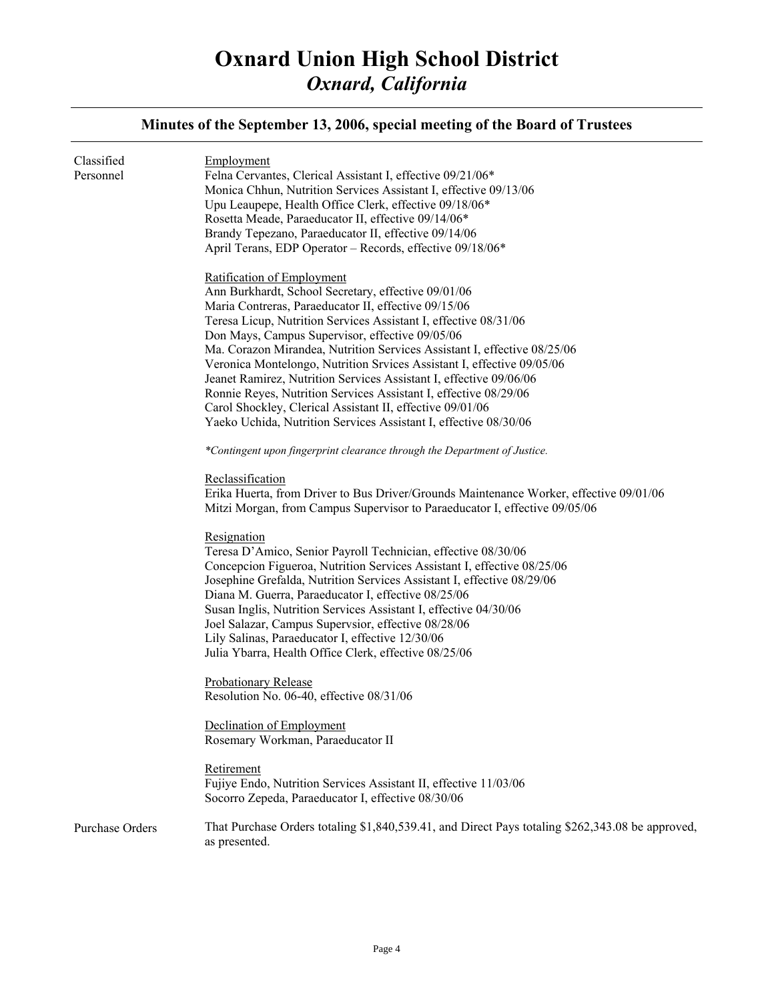#### **Minutes of the September 13, 2006, special meeting of the Board of Trustees**  Classified Personnel Purchase Orders Employment Felna Cervantes, Clerical Assistant I, effective 09/21/06\* Monica Chhun, Nutrition Services Assistant I, effective 09/13/06 Upu Leaupepe, Health Office Clerk, effective 09/18/06\* Rosetta Meade, Paraeducator II, effective 09/14/06\* Brandy Tepezano, Paraeducator II, effective 09/14/06 April Terans, EDP Operator – Records, effective 09/18/06\* Ratification of Employment Ann Burkhardt, School Secretary, effective 09/01/06 Maria Contreras, Paraeducator II, effective 09/15/06 Teresa Licup, Nutrition Services Assistant I, effective 08/31/06 Don Mays, Campus Supervisor, effective 09/05/06 Ma. Corazon Mirandea, Nutrition Services Assistant I, effective 08/25/06 Veronica Montelongo, Nutrition Srvices Assistant I, effective 09/05/06 Jeanet Ramirez, Nutrition Services Assistant I, effective 09/06/06 Ronnie Reyes, Nutrition Services Assistant I, effective 08/29/06 Carol Shockley, Clerical Assistant II, effective 09/01/06 Yaeko Uchida, Nutrition Services Assistant I, effective 08/30/06 *\*Contingent upon fingerprint clearance through the Department of Justice.* Reclassification Erika Huerta, from Driver to Bus Driver/Grounds Maintenance Worker, effective 09/01/06 Mitzi Morgan, from Campus Supervisor to Paraeducator I, effective 09/05/06 Resignation Teresa D'Amico, Senior Payroll Technician, effective 08/30/06 Concepcion Figueroa, Nutrition Services Assistant I, effective 08/25/06 Josephine Grefalda, Nutrition Services Assistant I, effective 08/29/06 Diana M. Guerra, Paraeducator I, effective 08/25/06 Susan Inglis, Nutrition Services Assistant I, effective 04/30/06 Joel Salazar, Campus Supervsior, effective 08/28/06 Lily Salinas, Paraeducator I, effective 12/30/06 Julia Ybarra, Health Office Clerk, effective 08/25/06 Probationary Release Resolution No. 06-40, effective 08/31/06 Declination of Employment Rosemary Workman, Paraeducator II Retirement Fujiye Endo, Nutrition Services Assistant II, effective 11/03/06 Socorro Zepeda, Paraeducator I, effective 08/30/06 That Purchase Orders totaling \$1,840,539.41, and Direct Pays totaling \$262,343.08 be approved, as presented.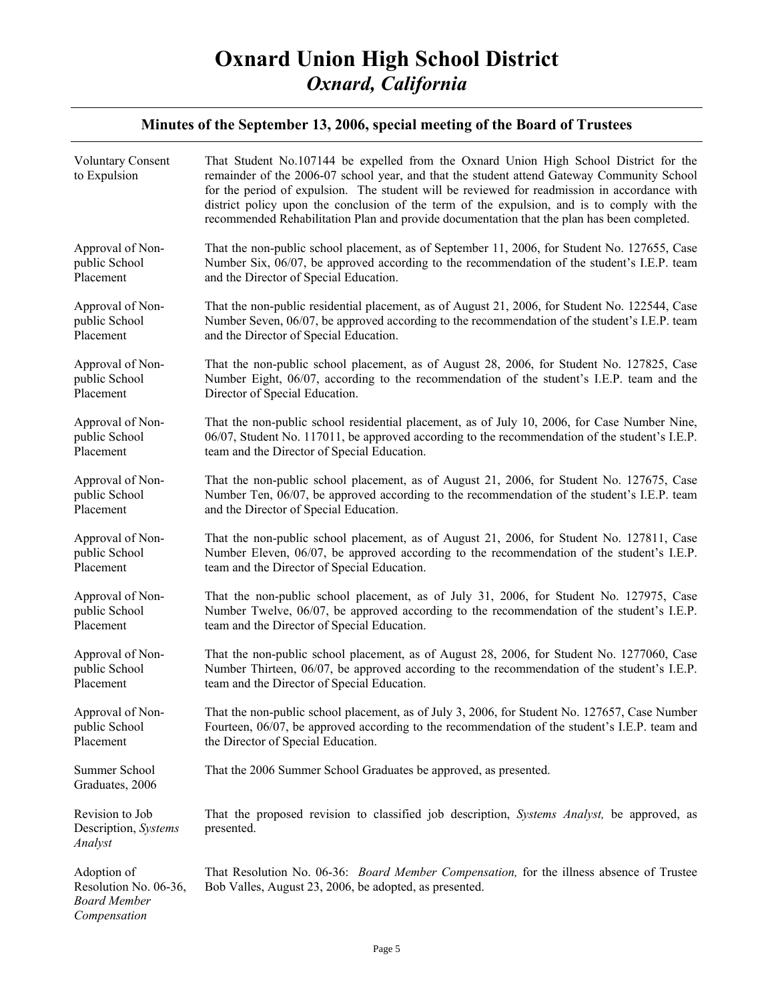| <b>Voluntary Consent</b><br>to Expulsion                                    | That Student No.107144 be expelled from the Oxnard Union High School District for the<br>remainder of the 2006-07 school year, and that the student attend Gateway Community School<br>for the period of expulsion. The student will be reviewed for readmission in accordance with<br>district policy upon the conclusion of the term of the expulsion, and is to comply with the<br>recommended Rehabilitation Plan and provide documentation that the plan has been completed. |
|-----------------------------------------------------------------------------|-----------------------------------------------------------------------------------------------------------------------------------------------------------------------------------------------------------------------------------------------------------------------------------------------------------------------------------------------------------------------------------------------------------------------------------------------------------------------------------|
| Approval of Non-                                                            | That the non-public school placement, as of September 11, 2006, for Student No. 127655, Case                                                                                                                                                                                                                                                                                                                                                                                      |
| public School                                                               | Number Six, 06/07, be approved according to the recommendation of the student's I.E.P. team                                                                                                                                                                                                                                                                                                                                                                                       |
| Placement                                                                   | and the Director of Special Education.                                                                                                                                                                                                                                                                                                                                                                                                                                            |
| Approval of Non-                                                            | That the non-public residential placement, as of August 21, 2006, for Student No. 122544, Case                                                                                                                                                                                                                                                                                                                                                                                    |
| public School                                                               | Number Seven, 06/07, be approved according to the recommendation of the student's I.E.P. team                                                                                                                                                                                                                                                                                                                                                                                     |
| Placement                                                                   | and the Director of Special Education.                                                                                                                                                                                                                                                                                                                                                                                                                                            |
| Approval of Non-                                                            | That the non-public school placement, as of August 28, 2006, for Student No. 127825, Case                                                                                                                                                                                                                                                                                                                                                                                         |
| public School                                                               | Number Eight, 06/07, according to the recommendation of the student's I.E.P. team and the                                                                                                                                                                                                                                                                                                                                                                                         |
| Placement                                                                   | Director of Special Education.                                                                                                                                                                                                                                                                                                                                                                                                                                                    |
| Approval of Non-                                                            | That the non-public school residential placement, as of July 10, 2006, for Case Number Nine,                                                                                                                                                                                                                                                                                                                                                                                      |
| public School                                                               | 06/07, Student No. 117011, be approved according to the recommendation of the student's I.E.P.                                                                                                                                                                                                                                                                                                                                                                                    |
| Placement                                                                   | team and the Director of Special Education.                                                                                                                                                                                                                                                                                                                                                                                                                                       |
| Approval of Non-                                                            | That the non-public school placement, as of August 21, 2006, for Student No. 127675, Case                                                                                                                                                                                                                                                                                                                                                                                         |
| public School                                                               | Number Ten, 06/07, be approved according to the recommendation of the student's I.E.P. team                                                                                                                                                                                                                                                                                                                                                                                       |
| Placement                                                                   | and the Director of Special Education.                                                                                                                                                                                                                                                                                                                                                                                                                                            |
| Approval of Non-                                                            | That the non-public school placement, as of August 21, 2006, for Student No. 127811, Case                                                                                                                                                                                                                                                                                                                                                                                         |
| public School                                                               | Number Eleven, 06/07, be approved according to the recommendation of the student's I.E.P.                                                                                                                                                                                                                                                                                                                                                                                         |
| Placement                                                                   | team and the Director of Special Education.                                                                                                                                                                                                                                                                                                                                                                                                                                       |
| Approval of Non-                                                            | That the non-public school placement, as of July 31, 2006, for Student No. 127975, Case                                                                                                                                                                                                                                                                                                                                                                                           |
| public School                                                               | Number Twelve, 06/07, be approved according to the recommendation of the student's I.E.P.                                                                                                                                                                                                                                                                                                                                                                                         |
| Placement                                                                   | team and the Director of Special Education.                                                                                                                                                                                                                                                                                                                                                                                                                                       |
| Approval of Non-                                                            | That the non-public school placement, as of August 28, 2006, for Student No. 1277060, Case                                                                                                                                                                                                                                                                                                                                                                                        |
| public School                                                               | Number Thirteen, 06/07, be approved according to the recommendation of the student's I.E.P.                                                                                                                                                                                                                                                                                                                                                                                       |
| Placement                                                                   | team and the Director of Special Education.                                                                                                                                                                                                                                                                                                                                                                                                                                       |
| Approval of Non-                                                            | That the non-public school placement, as of July 3, 2006, for Student No. 127657, Case Number                                                                                                                                                                                                                                                                                                                                                                                     |
| public School                                                               | Fourteen, 06/07, be approved according to the recommendation of the student's I.E.P. team and                                                                                                                                                                                                                                                                                                                                                                                     |
| Placement                                                                   | the Director of Special Education.                                                                                                                                                                                                                                                                                                                                                                                                                                                |
| Summer School<br>Graduates, 2006                                            | That the 2006 Summer School Graduates be approved, as presented.                                                                                                                                                                                                                                                                                                                                                                                                                  |
| Revision to Job<br>Description, Systems<br>Analyst                          | That the proposed revision to classified job description, Systems Analyst, be approved, as<br>presented.                                                                                                                                                                                                                                                                                                                                                                          |
| Adoption of<br>Resolution No. 06-36,<br><b>Board Member</b><br>Compensation | That Resolution No. 06-36: <i>Board Member Compensation</i> , for the illness absence of Trustee<br>Bob Valles, August 23, 2006, be adopted, as presented.                                                                                                                                                                                                                                                                                                                        |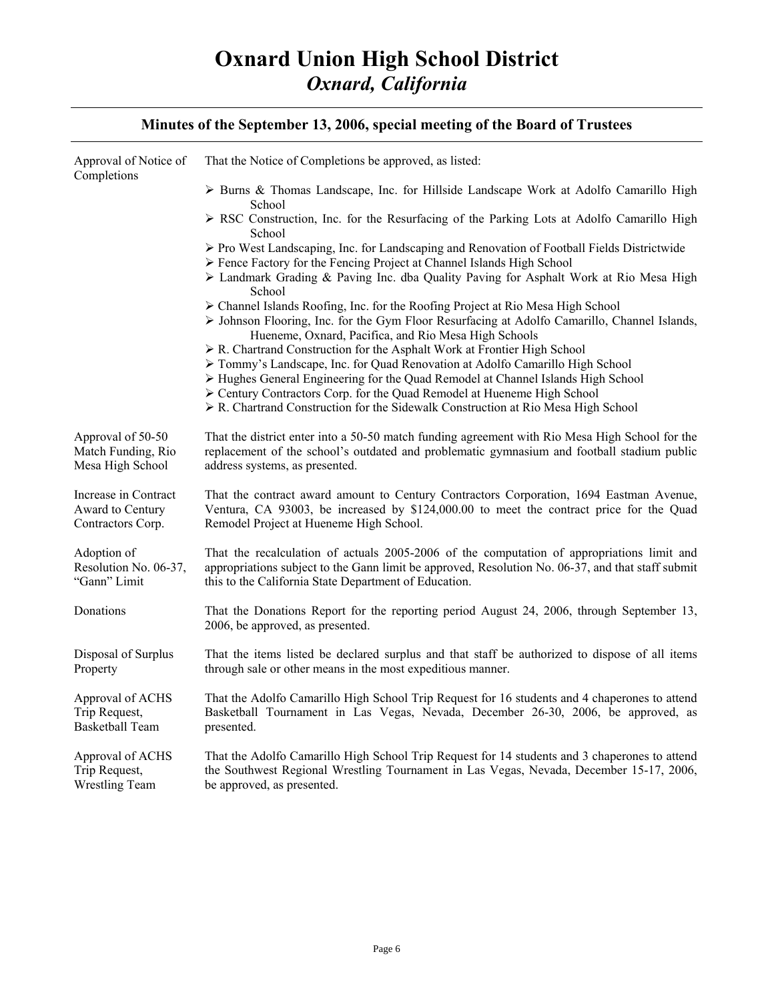| Approval of Notice of<br>Completions                          | That the Notice of Completions be approved, as listed:                                                                                                                                                                                                   |
|---------------------------------------------------------------|----------------------------------------------------------------------------------------------------------------------------------------------------------------------------------------------------------------------------------------------------------|
|                                                               | $\triangleright$ Burns & Thomas Landscape, Inc. for Hillside Landscape Work at Adolfo Camarillo High<br>School                                                                                                                                           |
|                                                               | ► RSC Construction, Inc. for the Resurfacing of the Parking Lots at Adolfo Camarillo High<br>School                                                                                                                                                      |
|                                                               | $\triangleright$ Pro West Landscaping, Inc. for Landscaping and Renovation of Football Fields Districtwide<br>> Fence Factory for the Fencing Project at Channel Islands High School                                                                     |
|                                                               | ► Landmark Grading & Paving Inc. dba Quality Paving for Asphalt Work at Rio Mesa High<br>School                                                                                                                                                          |
|                                                               | > Channel Islands Roofing, Inc. for the Roofing Project at Rio Mesa High School<br>$\triangleright$ Johnson Flooring, Inc. for the Gym Floor Resurfacing at Adolfo Camarillo, Channel Islands,<br>Hueneme, Oxnard, Pacifica, and Rio Mesa High Schools   |
|                                                               | $\triangleright$ R. Chartrand Construction for the Asphalt Work at Frontier High School<br>> Tommy's Landscape, Inc. for Quad Renovation at Adolfo Camarillo High School                                                                                 |
|                                                               | > Hughes General Engineering for the Quad Remodel at Channel Islands High School<br>> Century Contractors Corp. for the Quad Remodel at Hueneme High School<br>> R. Chartrand Construction for the Sidewalk Construction at Rio Mesa High School         |
| Approval of 50-50<br>Match Funding, Rio<br>Mesa High School   | That the district enter into a 50-50 match funding agreement with Rio Mesa High School for the<br>replacement of the school's outdated and problematic gymnasium and football stadium public<br>address systems, as presented.                           |
| Increase in Contract<br>Award to Century<br>Contractors Corp. | That the contract award amount to Century Contractors Corporation, 1694 Eastman Avenue,<br>Ventura, CA 93003, be increased by \$124,000.00 to meet the contract price for the Quad<br>Remodel Project at Hueneme High School.                            |
| Adoption of<br>Resolution No. 06-37,<br>"Gann" Limit          | That the recalculation of actuals 2005-2006 of the computation of appropriations limit and<br>appropriations subject to the Gann limit be approved, Resolution No. 06-37, and that staff submit<br>this to the California State Department of Education. |
| Donations                                                     | That the Donations Report for the reporting period August 24, 2006, through September 13,<br>2006, be approved, as presented.                                                                                                                            |
| Disposal of Surplus<br>Property                               | That the items listed be declared surplus and that staff be authorized to dispose of all items<br>through sale or other means in the most expeditious manner.                                                                                            |
| Approval of ACHS<br>Trip Request,<br><b>Basketball Team</b>   | That the Adolfo Camarillo High School Trip Request for 16 students and 4 chaperones to attend<br>Basketball Tournament in Las Vegas, Nevada, December 26-30, 2006, be approved, as<br>presented.                                                         |
| Approval of ACHS<br>Trip Request,<br><b>Wrestling Team</b>    | That the Adolfo Camarillo High School Trip Request for 14 students and 3 chaperones to attend<br>the Southwest Regional Wrestling Tournament in Las Vegas, Nevada, December 15-17, 2006,<br>be approved, as presented.                                   |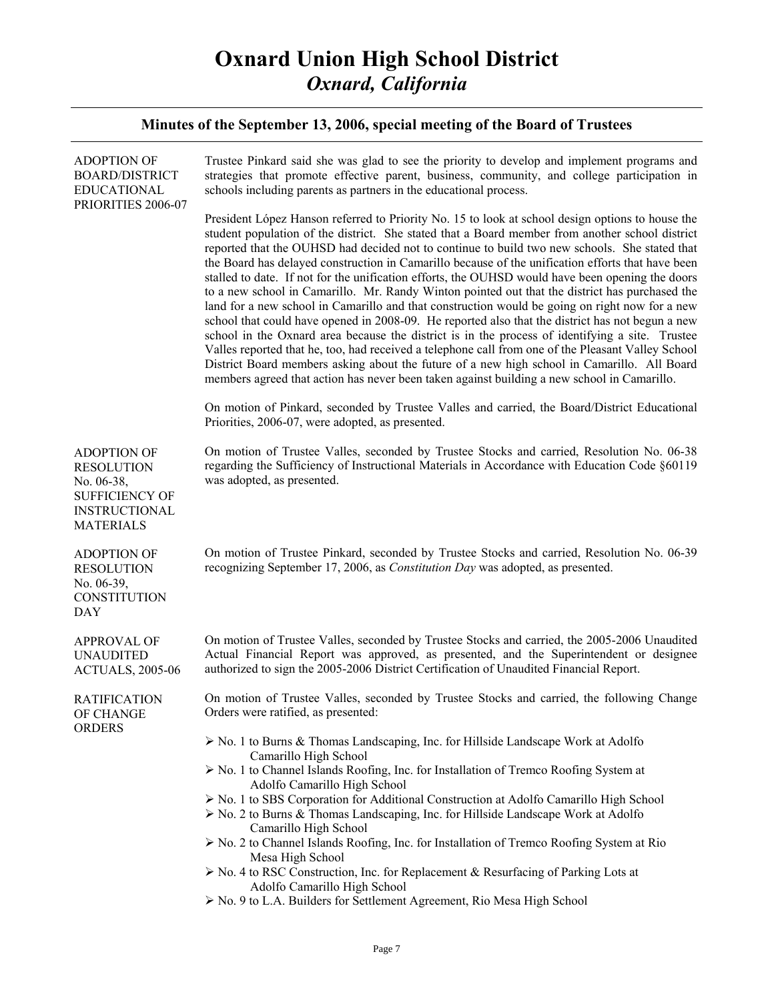| <b>ADOPTION OF</b><br><b>BOARD/DISTRICT</b><br><b>EDUCATIONAL</b><br>PRIORITIES 2006-07                                    | Trustee Pinkard said she was glad to see the priority to develop and implement programs and<br>strategies that promote effective parent, business, community, and college participation in<br>schools including parents as partners in the educational process.                                                                                                                                                                                                                                                                                                                                                                                                                                                                                                                                                                                                                                                                                                                                                                                                                                                                                                                                                                                                                                                              |
|----------------------------------------------------------------------------------------------------------------------------|------------------------------------------------------------------------------------------------------------------------------------------------------------------------------------------------------------------------------------------------------------------------------------------------------------------------------------------------------------------------------------------------------------------------------------------------------------------------------------------------------------------------------------------------------------------------------------------------------------------------------------------------------------------------------------------------------------------------------------------------------------------------------------------------------------------------------------------------------------------------------------------------------------------------------------------------------------------------------------------------------------------------------------------------------------------------------------------------------------------------------------------------------------------------------------------------------------------------------------------------------------------------------------------------------------------------------|
|                                                                                                                            | President López Hanson referred to Priority No. 15 to look at school design options to house the<br>student population of the district. She stated that a Board member from another school district<br>reported that the OUHSD had decided not to continue to build two new schools. She stated that<br>the Board has delayed construction in Camarillo because of the unification efforts that have been<br>stalled to date. If not for the unification efforts, the OUHSD would have been opening the doors<br>to a new school in Camarillo. Mr. Randy Winton pointed out that the district has purchased the<br>land for a new school in Camarillo and that construction would be going on right now for a new<br>school that could have opened in 2008-09. He reported also that the district has not begun a new<br>school in the Oxnard area because the district is in the process of identifying a site. Trustee<br>Valles reported that he, too, had received a telephone call from one of the Pleasant Valley School<br>District Board members asking about the future of a new high school in Camarillo. All Board<br>members agreed that action has never been taken against building a new school in Camarillo.<br>On motion of Pinkard, seconded by Trustee Valles and carried, the Board/District Educational |
|                                                                                                                            | Priorities, 2006-07, were adopted, as presented.                                                                                                                                                                                                                                                                                                                                                                                                                                                                                                                                                                                                                                                                                                                                                                                                                                                                                                                                                                                                                                                                                                                                                                                                                                                                             |
| <b>ADOPTION OF</b><br><b>RESOLUTION</b><br>No. 06-38,<br><b>SUFFICIENCY OF</b><br><b>INSTRUCTIONAL</b><br><b>MATERIALS</b> | On motion of Trustee Valles, seconded by Trustee Stocks and carried, Resolution No. 06-38<br>regarding the Sufficiency of Instructional Materials in Accordance with Education Code §60119<br>was adopted, as presented.                                                                                                                                                                                                                                                                                                                                                                                                                                                                                                                                                                                                                                                                                                                                                                                                                                                                                                                                                                                                                                                                                                     |
| <b>ADOPTION OF</b><br><b>RESOLUTION</b><br>No. 06-39,<br><b>CONSTITUTION</b><br><b>DAY</b>                                 | On motion of Trustee Pinkard, seconded by Trustee Stocks and carried, Resolution No. 06-39<br>recognizing September 17, 2006, as Constitution Day was adopted, as presented.                                                                                                                                                                                                                                                                                                                                                                                                                                                                                                                                                                                                                                                                                                                                                                                                                                                                                                                                                                                                                                                                                                                                                 |
| <b>APPROVAL OF</b><br><b>UNAUDITED</b><br><b>ACTUALS, 2005-06</b>                                                          | On motion of Trustee Valles, seconded by Trustee Stocks and carried, the 2005-2006 Unaudited<br>Actual Financial Report was approved, as presented, and the Superintendent or designee<br>authorized to sign the 2005-2006 District Certification of Unaudited Financial Report.                                                                                                                                                                                                                                                                                                                                                                                                                                                                                                                                                                                                                                                                                                                                                                                                                                                                                                                                                                                                                                             |
| <b>RATIFICATION</b><br>OF CHANGE                                                                                           | On motion of Trustee Valles, seconded by Trustee Stocks and carried, the following Change<br>Orders were ratified, as presented:                                                                                                                                                                                                                                                                                                                                                                                                                                                                                                                                                                                                                                                                                                                                                                                                                                                                                                                                                                                                                                                                                                                                                                                             |
| <b>ORDERS</b>                                                                                                              | $\triangleright$ No. 1 to Burns & Thomas Landscaping, Inc. for Hillside Landscape Work at Adolfo                                                                                                                                                                                                                                                                                                                                                                                                                                                                                                                                                                                                                                                                                                                                                                                                                                                                                                                                                                                                                                                                                                                                                                                                                             |
|                                                                                                                            | Camarillo High School<br>> No. 1 to Channel Islands Roofing, Inc. for Installation of Tremco Roofing System at                                                                                                                                                                                                                                                                                                                                                                                                                                                                                                                                                                                                                                                                                                                                                                                                                                                                                                                                                                                                                                                                                                                                                                                                               |
|                                                                                                                            | Adolfo Camarillo High School<br>$\triangleright$ No. 1 to SBS Corporation for Additional Construction at Adolfo Camarillo High School<br>$\triangleright$ No. 2 to Burns & Thomas Landscaping, Inc. for Hillside Landscape Work at Adolfo<br>Camarillo High School                                                                                                                                                                                                                                                                                                                                                                                                                                                                                                                                                                                                                                                                                                                                                                                                                                                                                                                                                                                                                                                           |
|                                                                                                                            | $\triangleright$ No. 2 to Channel Islands Roofing, Inc. for Installation of Tremco Roofing System at Rio                                                                                                                                                                                                                                                                                                                                                                                                                                                                                                                                                                                                                                                                                                                                                                                                                                                                                                                                                                                                                                                                                                                                                                                                                     |
|                                                                                                                            | Mesa High School<br>$\triangleright$ No. 4 to RSC Construction, Inc. for Replacement & Resurfacing of Parking Lots at                                                                                                                                                                                                                                                                                                                                                                                                                                                                                                                                                                                                                                                                                                                                                                                                                                                                                                                                                                                                                                                                                                                                                                                                        |
|                                                                                                                            | Adolfo Camarillo High School<br>> No. 9 to L.A. Builders for Settlement Agreement, Rio Mesa High School                                                                                                                                                                                                                                                                                                                                                                                                                                                                                                                                                                                                                                                                                                                                                                                                                                                                                                                                                                                                                                                                                                                                                                                                                      |
|                                                                                                                            |                                                                                                                                                                                                                                                                                                                                                                                                                                                                                                                                                                                                                                                                                                                                                                                                                                                                                                                                                                                                                                                                                                                                                                                                                                                                                                                              |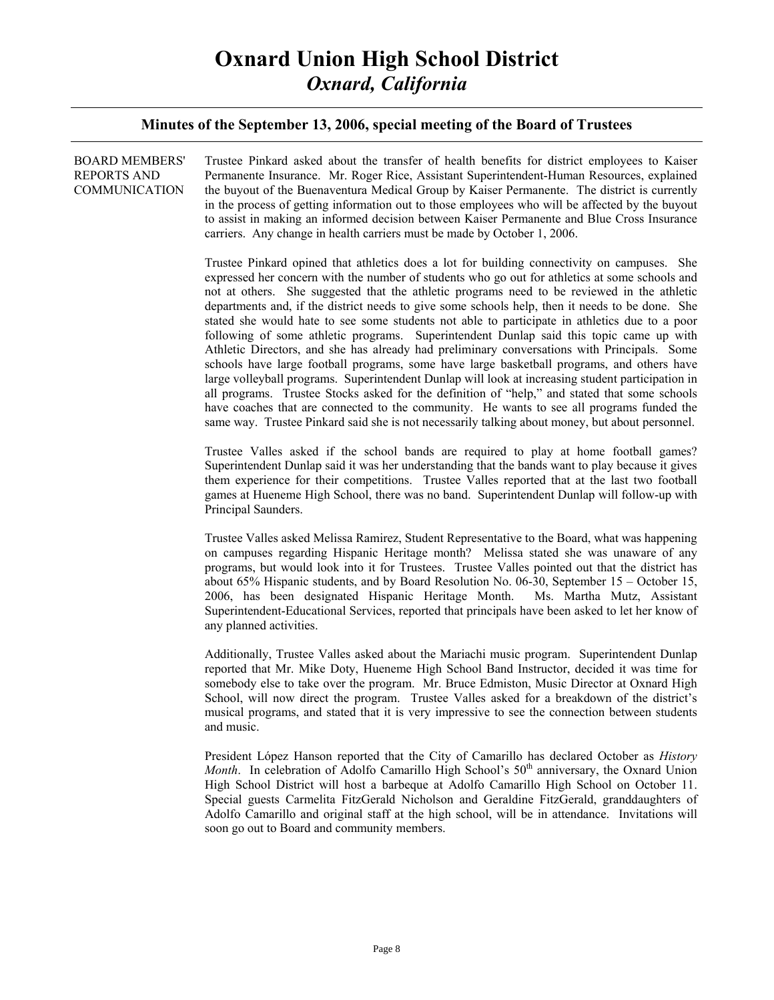#### **Minutes of the September 13, 2006, special meeting of the Board of Trustees**

| <b>BOARD MEMBERS'</b><br><b>REPORTS AND</b><br>COMMUNICATION | Trustee Pinkard asked about the transfer of health benefits for district employees to Kaiser<br>Permanente Insurance. Mr. Roger Rice, Assistant Superintendent-Human Resources, explained<br>the buyout of the Buenaventura Medical Group by Kaiser Permanente. The district is currently<br>in the process of getting information out to those employees who will be affected by the buyout<br>to assist in making an informed decision between Kaiser Permanente and Blue Cross Insurance<br>carriers. Any change in health carriers must be made by October 1, 2006.                                                                                                                                                                                                                                                                                                                                                                                                                                                                                                                                                                                                                        |
|--------------------------------------------------------------|------------------------------------------------------------------------------------------------------------------------------------------------------------------------------------------------------------------------------------------------------------------------------------------------------------------------------------------------------------------------------------------------------------------------------------------------------------------------------------------------------------------------------------------------------------------------------------------------------------------------------------------------------------------------------------------------------------------------------------------------------------------------------------------------------------------------------------------------------------------------------------------------------------------------------------------------------------------------------------------------------------------------------------------------------------------------------------------------------------------------------------------------------------------------------------------------|
|                                                              | Trustee Pinkard opined that athletics does a lot for building connectivity on campuses. She<br>expressed her concern with the number of students who go out for athletics at some schools and<br>not at others. She suggested that the athletic programs need to be reviewed in the athletic<br>departments and, if the district needs to give some schools help, then it needs to be done. She<br>stated she would hate to see some students not able to participate in athletics due to a poor<br>following of some athletic programs. Superintendent Dunlap said this topic came up with<br>Athletic Directors, and she has already had preliminary conversations with Principals. Some<br>schools have large football programs, some have large basketball programs, and others have<br>large volleyball programs. Superintendent Dunlap will look at increasing student participation in<br>all programs. Trustee Stocks asked for the definition of "help," and stated that some schools<br>have coaches that are connected to the community. He wants to see all programs funded the<br>same way. Trustee Pinkard said she is not necessarily talking about money, but about personnel. |
|                                                              | Trustee Valles asked if the school bands are required to play at home football games?<br>Superintendent Dunlap said it was her understanding that the bands want to play because it gives<br>them experience for their competitions. Trustee Valles reported that at the last two football<br>games at Hueneme High School, there was no band. Superintendent Dunlap will follow-up with<br>Principal Saunders.                                                                                                                                                                                                                                                                                                                                                                                                                                                                                                                                                                                                                                                                                                                                                                                |
|                                                              | Trustee Valles asked Melissa Ramirez, Student Representative to the Board, what was happening<br>on campuses regarding Hispanic Heritage month? Melissa stated she was unaware of any<br>programs, but would look into it for Trustees. Trustee Valles pointed out that the district has<br>about 65% Hispanic students, and by Board Resolution No. 06-30, September $15 -$ October 15,<br>2006, has been designated Hispanic Heritage Month. Ms. Martha Mutz, Assistant<br>Superintendent-Educational Services, reported that principals have been asked to let her know of<br>any planned activities.                                                                                                                                                                                                                                                                                                                                                                                                                                                                                                                                                                                       |
|                                                              | Additionally, Trustee Valles asked about the Mariachi music program. Superintendent Dunlap<br>reported that Mr. Mike Doty, Hueneme High School Band Instructor, decided it was time for<br>somebody else to take over the program. Mr. Bruce Edmiston, Music Director at Oxnard High<br>School, will now direct the program. Trustee Valles asked for a breakdown of the district's<br>musical programs, and stated that it is very impressive to see the connection between students<br>and music.                                                                                                                                                                                                                                                                                                                                                                                                                                                                                                                                                                                                                                                                                            |
|                                                              | President López Hanson reported that the City of Camarillo has declared October as History<br>Month. In celebration of Adolfo Camarillo High School's 50 <sup>th</sup> anniversary, the Oxnard Union<br>High School District will host a barbeque at Adolfo Camarillo High School on October 11.<br>Special guests Carmelita FitzGerald Nicholson and Geraldine FitzGerald, granddaughters of<br>Adolfo Camarillo and original staff at the high school, will be in attendance. Invitations will                                                                                                                                                                                                                                                                                                                                                                                                                                                                                                                                                                                                                                                                                               |

soon go out to Board and community members.